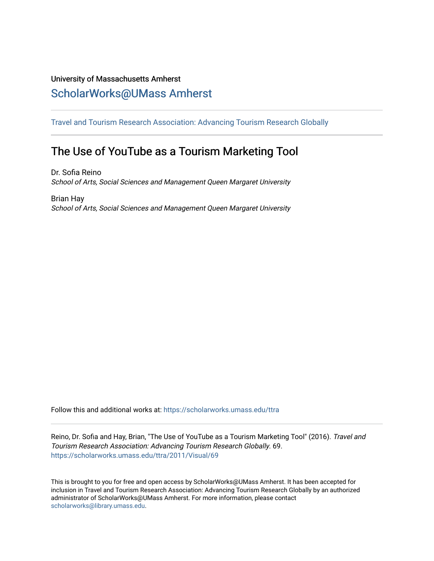## University of Massachusetts Amherst [ScholarWorks@UMass Amherst](https://scholarworks.umass.edu/)

[Travel and Tourism Research Association: Advancing Tourism Research Globally](https://scholarworks.umass.edu/ttra) 

# The Use of YouTube as a Tourism Marketing Tool

Dr. Sofia Reino School of Arts, Social Sciences and Management Queen Margaret University

Brian Hay School of Arts, Social Sciences and Management Queen Margaret University

Follow this and additional works at: [https://scholarworks.umass.edu/ttra](https://scholarworks.umass.edu/ttra?utm_source=scholarworks.umass.edu%2Fttra%2F2011%2FVisual%2F69&utm_medium=PDF&utm_campaign=PDFCoverPages)

Reino, Dr. Sofia and Hay, Brian, "The Use of YouTube as a Tourism Marketing Tool" (2016). Travel and Tourism Research Association: Advancing Tourism Research Globally. 69. [https://scholarworks.umass.edu/ttra/2011/Visual/69](https://scholarworks.umass.edu/ttra/2011/Visual/69?utm_source=scholarworks.umass.edu%2Fttra%2F2011%2FVisual%2F69&utm_medium=PDF&utm_campaign=PDFCoverPages) 

This is brought to you for free and open access by ScholarWorks@UMass Amherst. It has been accepted for inclusion in Travel and Tourism Research Association: Advancing Tourism Research Globally by an authorized administrator of ScholarWorks@UMass Amherst. For more information, please contact [scholarworks@library.umass.edu.](mailto:scholarworks@library.umass.edu)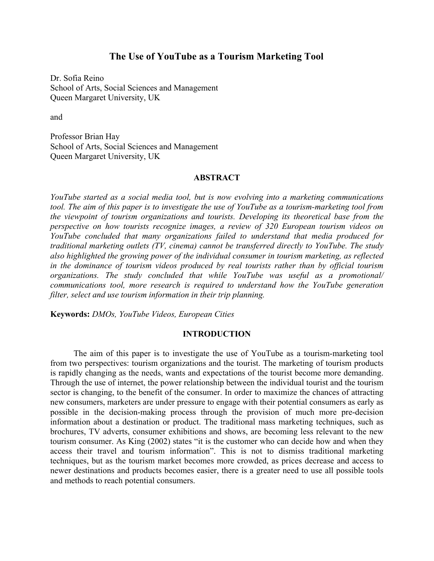### **The Use of YouTube as a Tourism Marketing Tool**

Dr. Sofia Reino School of Arts, Social Sciences and Management Queen Margaret University, UK

and

Professor Brian Hay School of Arts, Social Sciences and Management Queen Margaret University, UK

#### **ABSTRACT**

*YouTube started as a social media tool, but is now evolving into a marketing communications tool. The aim of this paper is to investigate the use of YouTube as a tourism-marketing tool from the viewpoint of tourism organizations and tourists. Developing its theoretical base from the perspective on how tourists recognize images, a review of 320 European tourism videos on YouTube concluded that many organizations failed to understand that media produced for traditional marketing outlets (TV, cinema) cannot be transferred directly to YouTube. The study also highlighted the growing power of the individual consumer in tourism marketing, as reflected in the dominance of tourism videos produced by real tourists rather than by official tourism organizations. The study concluded that while YouTube was useful as a promotional/ communications tool, more research is required to understand how the YouTube generation filter, select and use tourism information in their trip planning.* 

**Keywords:** *DMOs, YouTube Videos, European Cities* 

#### **INTRODUCTION**

 The aim of this paper is to investigate the use of YouTube as a tourism-marketing tool from two perspectives: tourism organizations and the tourist. The marketing of tourism products is rapidly changing as the needs, wants and expectations of the tourist become more demanding. Through the use of internet, the power relationship between the individual tourist and the tourism sector is changing, to the benefit of the consumer. In order to maximize the chances of attracting new consumers, marketers are under pressure to engage with their potential consumers as early as possible in the decision-making process through the provision of much more pre-decision information about a destination or product. The traditional mass marketing techniques, such as brochures, TV adverts, consumer exhibitions and shows, are becoming less relevant to the new tourism consumer. As King (2002) states "it is the customer who can decide how and when they access their travel and tourism information". This is not to dismiss traditional marketing techniques, but as the tourism market becomes more crowded, as prices decrease and access to newer destinations and products becomes easier, there is a greater need to use all possible tools and methods to reach potential consumers.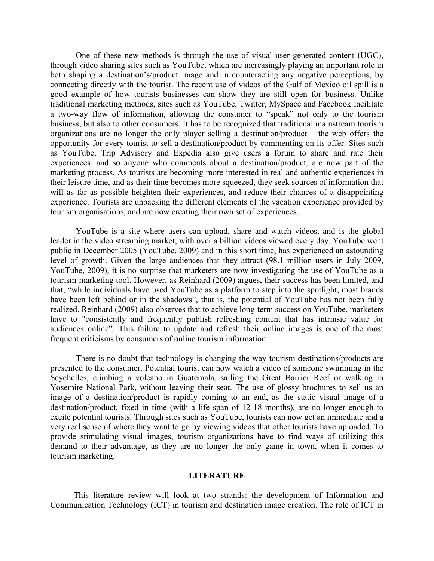One of these new methods is through the use of visual user generated content (UGC), through video sharing sites such as YouTube, which are increasingly playing an important role in both shaping a destination's/product image and in counteracting any negative perceptions, by connecting directly with the tourist. The recent use of videos of the Gulf of Mexico oil spill is a good example of how tourists businesses can show they are still open for business. Unlike traditional marketing methods, sites such as YouTube, Twitter, MySpace and Facebook facilitate a two-way flow of information, allowing the consumer to "speak" not only to the tourism business, but also to other consumers. It has to be recognized that traditional mainstream tourism organizations are no longer the only player selling a destination/product – the web offers the opportunity for every tourist to sell a destination/product by commenting on its offer. Sites such as YouTube, Trip Advisory and Expedia also give users a forum to share and rate their experiences, and so anyone who comments about a destination/product, are now part of the marketing process. As tourists are becoming more interested in real and authentic experiences in their leisure time, and as their time becomes more squeezed, they seek sources of information that will as far as possible heighten their experiences, and reduce their chances of a disappointing experience. Tourists are unpacking the different elements of the vacation experience provided by tourism organisations, and are now creating their own set of experiences.

 YouTube is a site where users can upload, share and watch videos, and is the global leader in the video streaming market, with over a billion videos viewed every day. YouTube went public in December 2005 (YouTube, 2009) and in this short time, has experienced an astounding level of growth. Given the large audiences that they attract (98.1 million users in July 2009, YouTube, 2009), it is no surprise that marketers are now investigating the use of YouTube as a tourism-marketing tool. However, as Reinhard (2009) argues, their success has been limited, and that, "while individuals have used YouTube as a platform to step into the spotlight, most brands have been left behind or in the shadows", that is, the potential of YouTube has not been fully realized. Reinhard (2009) also observes that to achieve long-term success on YouTube, marketers have to "consistently and frequently publish refreshing content that has intrinsic value for audiences online". This failure to update and refresh their online images is one of the most frequent criticisms by consumers of online tourism information.

 There is no doubt that technology is changing the way tourism destinations/products are presented to the consumer. Potential tourist can now watch a video of someone swimming in the Seychelles, climbing a volcano in Guatemala, sailing the Great Barrier Reef or walking in Yosemite National Park, without leaving their seat. The use of glossy brochures to sell us an image of a destination/product is rapidly coming to an end, as the static visual image of a destination/product, fixed in time (with a life span of 12-18 months), are no longer enough to excite potential tourists. Through sites such as YouTube, tourists can now get an immediate and a very real sense of where they want to go by viewing videos that other tourists have uploaded. To provide stimulating visual images, tourism organizations have to find ways of utilizing this demand to their advantage, as they are no longer the only game in town, when it comes to tourism marketing.

#### **LITERATURE**

 This literature review will look at two strands: the development of Information and Communication Technology (ICT) in tourism and destination image creation. The role of ICT in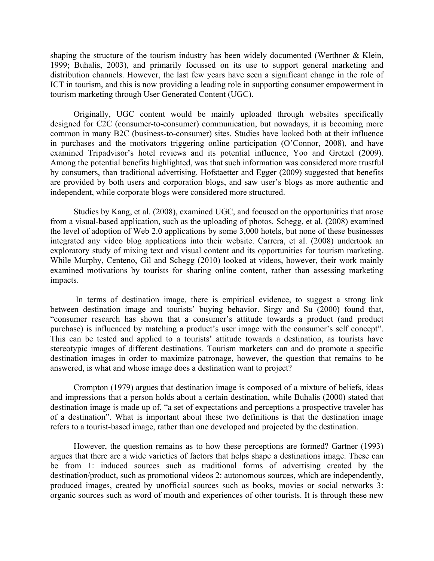shaping the structure of the tourism industry has been widely documented (Werthner & Klein, 1999; Buhalis, 2003), and primarily focussed on its use to support general marketing and distribution channels. However, the last few years have seen a significant change in the role of ICT in tourism, and this is now providing a leading role in supporting consumer empowerment in tourism marketing through User Generated Content (UGC).

 Originally, UGC content would be mainly uploaded through websites specifically designed for C2C (consumer-to-consumer) communication, but nowadays, it is becoming more common in many B2C (business-to-consumer) sites. Studies have looked both at their influence in purchases and the motivators triggering online participation (O'Connor, 2008), and have examined Tripadvisor's hotel reviews and its potential influence, Yoo and Gretzel (2009). Among the potential benefits highlighted, was that such information was considered more trustful by consumers, than traditional advertising. Hofstaetter and Egger (2009) suggested that benefits are provided by both users and corporation blogs, and saw user's blogs as more authentic and independent, while corporate blogs were considered more structured.

 Studies by Kang, et al. (2008), examined UGC, and focused on the opportunities that arose from a visual-based application, such as the uploading of photos. Schegg, et al. (2008) examined the level of adoption of Web 2.0 applications by some 3,000 hotels, but none of these businesses integrated any video blog applications into their website. Carrera, et al. (2008) undertook an exploratory study of mixing text and visual content and its opportunities for tourism marketing. While Murphy, Centeno, Gil and Schegg (2010) looked at videos, however, their work mainly examined motivations by tourists for sharing online content, rather than assessing marketing impacts.

 In terms of destination image, there is empirical evidence, to suggest a strong link between destination image and tourists' buying behavior. Sirgy and Su (2000) found that, "consumer research has shown that a consumer's attitude towards a product (and product purchase) is influenced by matching a product's user image with the consumer's self concept". This can be tested and applied to a tourists' attitude towards a destination, as tourists have stereotypic images of different destinations. Tourism marketers can and do promote a specific destination images in order to maximize patronage, however, the question that remains to be answered, is what and whose image does a destination want to project?

 Crompton (1979) argues that destination image is composed of a mixture of beliefs, ideas and impressions that a person holds about a certain destination, while Buhalis (2000) stated that destination image is made up of, "a set of expectations and perceptions a prospective traveler has of a destination". What is important about these two definitions is that the destination image refers to a tourist-based image, rather than one developed and projected by the destination.

 However, the question remains as to how these perceptions are formed? Gartner (1993) argues that there are a wide varieties of factors that helps shape a destinations image. These can be from 1: induced sources such as traditional forms of advertising created by the destination/product, such as promotional videos 2: autonomous sources, which are independently, produced images, created by unofficial sources such as books, movies or social networks 3: organic sources such as word of mouth and experiences of other tourists. It is through these new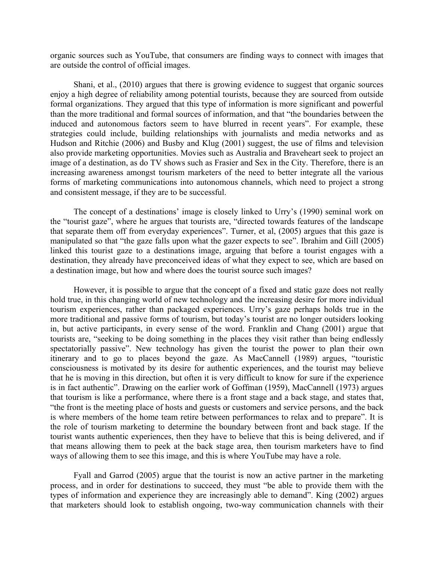organic sources such as YouTube, that consumers are finding ways to connect with images that are outside the control of official images.

 Shani, et al., (2010) argues that there is growing evidence to suggest that organic sources enjoy a high degree of reliability among potential tourists, because they are sourced from outside formal organizations. They argued that this type of information is more significant and powerful than the more traditional and formal sources of information, and that "the boundaries between the induced and autonomous factors seem to have blurred in recent years". For example, these strategies could include, building relationships with journalists and media networks and as Hudson and Ritchie (2006) and Busby and Klug (2001) suggest, the use of films and television also provide marketing opportunities. Movies such as Australia and Braveheart seek to project an image of a destination, as do TV shows such as Frasier and Sex in the City. Therefore, there is an increasing awareness amongst tourism marketers of the need to better integrate all the various forms of marketing communications into autonomous channels, which need to project a strong and consistent message, if they are to be successful.

 The concept of a destinations' image is closely linked to Urry's (1990) seminal work on the "tourist gaze", where he argues that tourists are, "directed towards features of the landscape that separate them off from everyday experiences". Turner, et al, (2005) argues that this gaze is manipulated so that "the gaze falls upon what the gazer expects to see". Ibrahim and Gill (2005) linked this tourist gaze to a destinations image, arguing that before a tourist engages with a destination, they already have preconceived ideas of what they expect to see, which are based on a destination image, but how and where does the tourist source such images?

 However, it is possible to argue that the concept of a fixed and static gaze does not really hold true, in this changing world of new technology and the increasing desire for more individual tourism experiences, rather than packaged experiences. Urry's gaze perhaps holds true in the more traditional and passive forms of tourism, but today's tourist are no longer outsiders looking in, but active participants, in every sense of the word. Franklin and Chang (2001) argue that tourists are, "seeking to be doing something in the places they visit rather than being endlessly spectatorially passive". New technology has given the tourist the power to plan their own itinerary and to go to places beyond the gaze. As MacCannell (1989) argues, "touristic consciousness is motivated by its desire for authentic experiences, and the tourist may believe that he is moving in this direction, but often it is very difficult to know for sure if the experience is in fact authentic". Drawing on the earlier work of Goffman (1959), MacCannell (1973) argues that tourism is like a performance, where there is a front stage and a back stage, and states that, "the front is the meeting place of hosts and guests or customers and service persons, and the back is where members of the home team retire between performances to relax and to prepare". It is the role of tourism marketing to determine the boundary between front and back stage. If the tourist wants authentic experiences, then they have to believe that this is being delivered, and if that means allowing them to peek at the back stage area, then tourism marketers have to find ways of allowing them to see this image, and this is where YouTube may have a role.

 Fyall and Garrod (2005) argue that the tourist is now an active partner in the marketing process, and in order for destinations to succeed, they must "be able to provide them with the types of information and experience they are increasingly able to demand". King (2002) argues that marketers should look to establish ongoing, two-way communication channels with their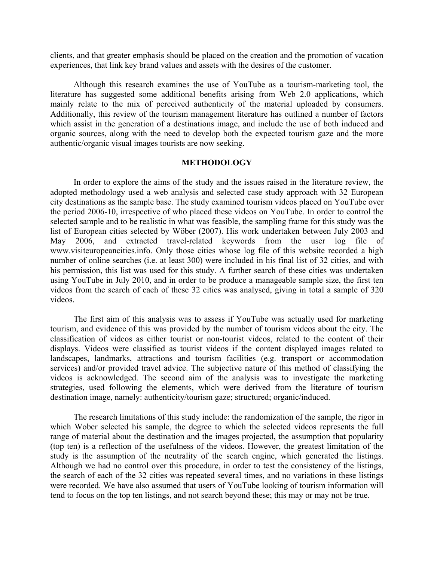clients, and that greater emphasis should be placed on the creation and the promotion of vacation experiences, that link key brand values and assets with the desires of the customer.

 Although this research examines the use of YouTube as a tourism-marketing tool, the literature has suggested some additional benefits arising from Web 2.0 applications, which mainly relate to the mix of perceived authenticity of the material uploaded by consumers. Additionally, this review of the tourism management literature has outlined a number of factors which assist in the generation of a destinations image, and include the use of both induced and organic sources, along with the need to develop both the expected tourism gaze and the more authentic/organic visual images tourists are now seeking.

#### **METHODOLOGY**

 In order to explore the aims of the study and the issues raised in the literature review, the adopted methodology used a web analysis and selected case study approach with 32 European city destinations as the sample base. The study examined tourism videos placed on YouTube over the period 2006-10, irrespective of who placed these videos on YouTube. In order to control the selected sample and to be realistic in what was feasible, the sampling frame for this study was the list of European cities selected by Wöber (2007). His work undertaken between July 2003 and May 2006, and extracted travel-related keywords from the user log file of www.visiteuropeancities.info. Only those cities whose log file of this website recorded a high number of online searches (i.e. at least 300) were included in his final list of 32 cities, and with his permission, this list was used for this study. A further search of these cities was undertaken using YouTube in July 2010, and in order to be produce a manageable sample size, the first ten videos from the search of each of these 32 cities was analysed, giving in total a sample of 320 videos.

 The first aim of this analysis was to assess if YouTube was actually used for marketing tourism, and evidence of this was provided by the number of tourism videos about the city. The classification of videos as either tourist or non-tourist videos, related to the content of their displays. Videos were classified as tourist videos if the content displayed images related to landscapes, landmarks, attractions and tourism facilities (e.g. transport or accommodation services) and/or provided travel advice. The subjective nature of this method of classifying the videos is acknowledged. The second aim of the analysis was to investigate the marketing strategies, used following the elements, which were derived from the literature of tourism destination image, namely: authenticity/tourism gaze; structured; organic/induced.

 The research limitations of this study include: the randomization of the sample, the rigor in which Wober selected his sample, the degree to which the selected videos represents the full range of material about the destination and the images projected, the assumption that popularity (top ten) is a reflection of the usefulness of the videos. However, the greatest limitation of the study is the assumption of the neutrality of the search engine, which generated the listings. Although we had no control over this procedure, in order to test the consistency of the listings, the search of each of the 32 cities was repeated several times, and no variations in these listings were recorded. We have also assumed that users of YouTube looking of tourism information will tend to focus on the top ten listings, and not search beyond these; this may or may not be true.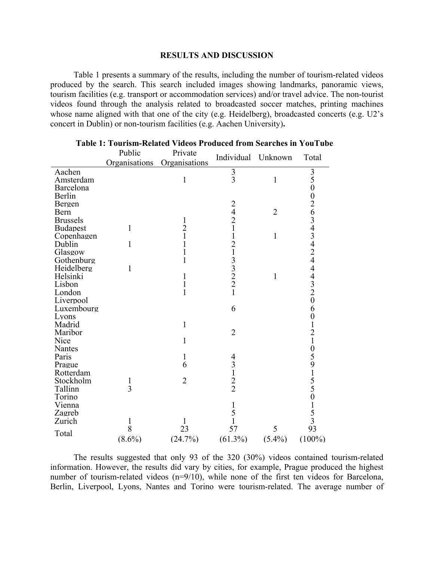#### **RESULTS AND DISCUSSION**

 Table 1 presents a summary of the results, including the number of tourism-related videos produced by the search. This search included images showing landmarks, panoramic views, tourism facilities (e.g. transport or accommodation services) and/or travel advice. The non-tourist videos found through the analysis related to broadcasted soccer matches, printing machines whose name aligned with that one of the city (e.g. Heidelberg), broadcasted concerts (e.g. U2's concert in Dublin) or non-tourism facilities (e.g. Aachen University)**.** 

|                      | Public                         | Private        |                                                 |                |                  |
|----------------------|--------------------------------|----------------|-------------------------------------------------|----------------|------------------|
|                      | Organisations                  | Organisations  | Individual Unknown                              |                | Total            |
| Aachen               |                                |                |                                                 |                |                  |
| Amsterdam            |                                | $\mathbf{1}$   | $\frac{3}{3}$                                   | $\mathbf{1}$   | $\frac{3}{5}$    |
| Barcelona            |                                |                |                                                 |                |                  |
| Berlin               |                                |                |                                                 |                |                  |
| Bergen               |                                |                |                                                 |                |                  |
| Bern                 |                                |                | $\begin{array}{c} 2 \\ 4 \\ 2 \\ 1 \end{array}$ | $\overline{2}$ |                  |
| <b>Brussels</b>      |                                | 1              |                                                 |                |                  |
| <b>Budapest</b>      | $\mathbf{1}$                   | $\frac{2}{1}$  |                                                 |                |                  |
| Copenhagen           |                                |                | $\mathbf{1}$                                    | $\mathbf{1}$   |                  |
| Dublin               | 1                              | 1              | $\frac{2}{1}$                                   |                |                  |
| Glasgow              |                                | 1              |                                                 |                |                  |
| Gothenburg           |                                | $\mathbf{1}$   |                                                 |                |                  |
| Heidelberg           | 1                              |                | $\begin{array}{c} 3 \\ 3 \\ 2 \end{array}$      |                |                  |
| Helsinki             |                                | 1              |                                                 | $\mathbf{1}$   |                  |
| Lisbon               |                                | 1              |                                                 |                | 02634342444320   |
| London               |                                | $\mathbf{1}$   | $\mathbf{1}$                                    |                |                  |
| Liverpool            |                                |                |                                                 |                |                  |
| Luxembourg           |                                |                | 6                                               |                | 6                |
| Lyons                |                                |                |                                                 |                | $\boldsymbol{0}$ |
| Madrid               |                                | $\mathbf{1}$   |                                                 |                |                  |
| Maribor              |                                |                | $\overline{2}$                                  |                |                  |
| Nice                 |                                | 1              |                                                 |                |                  |
| Nantes               |                                |                |                                                 |                |                  |
| Paris                |                                | 1              | 4                                               |                |                  |
| Prague               |                                | 6              | $\frac{3}{1}$                                   |                |                  |
| Rotterdam            |                                | $\overline{2}$ |                                                 |                |                  |
| Stockholm<br>Tallinn | $\mathbf{1}$<br>$\overline{3}$ |                | $\frac{2}{2}$                                   |                |                  |
| Torino               |                                |                |                                                 |                |                  |
| Vienna               |                                |                | $\mathbf{1}$                                    |                |                  |
| Zagreb               |                                |                | 5                                               |                |                  |
| Zurich               | 1                              | 1              | $\mathbf{1}$                                    |                | 1210591550153    |
|                      | 8                              | 23             | 57                                              | 5              | 93               |
| Total                |                                |                |                                                 |                |                  |
|                      | $(8.6\%)$                      | (24.7%)        | $(61.3\%)$                                      | $(5.4\%)$      | $(100\%)$        |

#### **Table 1: Tourism-Related Videos Produced from Searches in YouTube**

 The results suggested that only 93 of the 320 (30%) videos contained tourism-related information. However, the results did vary by cities, for example, Prague produced the highest number of tourism-related videos (n=9/10), while none of the first ten videos for Barcelona, Berlin, Liverpool, Lyons, Nantes and Torino were tourism-related. The average number of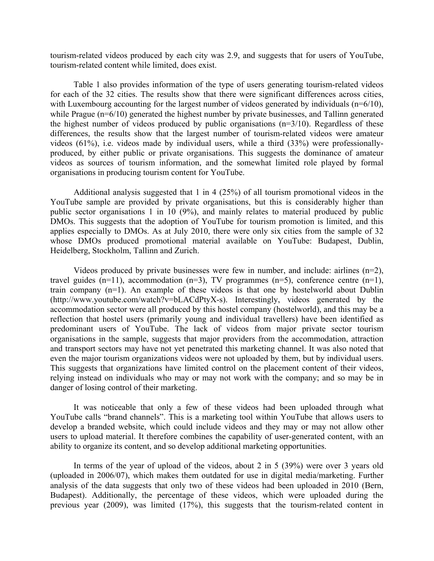tourism-related videos produced by each city was 2.9, and suggests that for users of YouTube, tourism-related content while limited, does exist.

 Table 1 also provides information of the type of users generating tourism-related videos for each of the 32 cities. The results show that there were significant differences across cities, with Luxembourg accounting for the largest number of videos generated by individuals  $(n=6/10)$ , while Prague (n=6/10) generated the highest number by private businesses, and Tallinn generated the highest number of videos produced by public organisations  $(n=3/10)$ . Regardless of these differences, the results show that the largest number of tourism-related videos were amateur videos (61%), i.e. videos made by individual users, while a third (33%) were professionallyproduced, by either public or private organisations. This suggests the dominance of amateur videos as sources of tourism information, and the somewhat limited role played by formal organisations in producing tourism content for YouTube.

 Additional analysis suggested that 1 in 4 (25%) of all tourism promotional videos in the YouTube sample are provided by private organisations, but this is considerably higher than public sector organisations 1 in 10 (9%), and mainly relates to material produced by public DMOs. This suggests that the adoption of YouTube for tourism promotion is limited, and this applies especially to DMOs. As at July 2010, there were only six cities from the sample of 32 whose DMOs produced promotional material available on YouTube: Budapest, Dublin, Heidelberg, Stockholm, Tallinn and Zurich.

Videos produced by private businesses were few in number, and include: airlines  $(n=2)$ , travel guides  $(n=1)$ , accommodation  $(n=3)$ , TV programmes  $(n=5)$ , conference centre  $(n=1)$ , train company (n=1). An example of these videos is that one by hostelworld about Dublin (http://www.youtube.com/watch?v=bLACdPtyX-s). Interestingly, videos generated by the accommodation sector were all produced by this hostel company (hostelworld), and this may be a reflection that hostel users (primarily young and individual travellers) have been identified as predominant users of YouTube. The lack of videos from major private sector tourism organisations in the sample, suggests that major providers from the accommodation, attraction and transport sectors may have not yet penetrated this marketing channel. It was also noted that even the major tourism organizations videos were not uploaded by them, but by individual users. This suggests that organizations have limited control on the placement content of their videos, relying instead on individuals who may or may not work with the company; and so may be in danger of losing control of their marketing.

 It was noticeable that only a few of these videos had been uploaded through what YouTube calls "brand channels". This is a marketing tool within YouTube that allows users to develop a branded website, which could include videos and they may or may not allow other users to upload material. It therefore combines the capability of user-generated content, with an ability to organize its content, and so develop additional marketing opportunities.

 In terms of the year of upload of the videos, about 2 in 5 (39%) were over 3 years old (uploaded in 2006/07), which makes them outdated for use in digital media/marketing. Further analysis of the data suggests that only two of these videos had been uploaded in 2010 (Bern, Budapest). Additionally, the percentage of these videos, which were uploaded during the previous year (2009), was limited (17%), this suggests that the tourism-related content in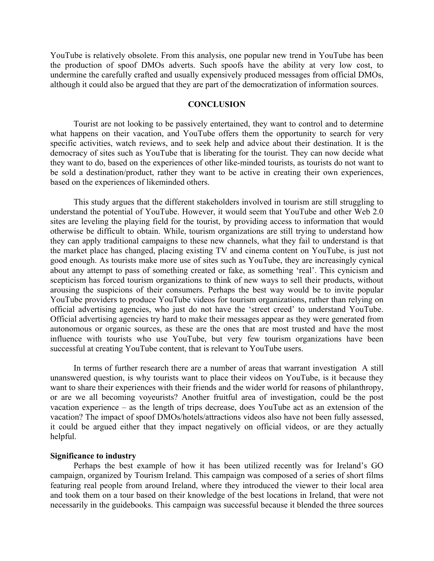YouTube is relatively obsolete. From this analysis, one popular new trend in YouTube has been the production of spoof DMOs adverts. Such spoofs have the ability at very low cost, to undermine the carefully crafted and usually expensively produced messages from official DMOs, although it could also be argued that they are part of the democratization of information sources.

#### **CONCLUSION**

 Tourist are not looking to be passively entertained, they want to control and to determine what happens on their vacation, and YouTube offers them the opportunity to search for very specific activities, watch reviews, and to seek help and advice about their destination. It is the democracy of sites such as YouTube that is liberating for the tourist. They can now decide what they want to do, based on the experiences of other like-minded tourists, as tourists do not want to be sold a destination/product, rather they want to be active in creating their own experiences, based on the experiences of likeminded others.

 This study argues that the different stakeholders involved in tourism are still struggling to understand the potential of YouTube. However, it would seem that YouTube and other Web 2.0 sites are leveling the playing field for the tourist, by providing access to information that would otherwise be difficult to obtain. While, tourism organizations are still trying to understand how they can apply traditional campaigns to these new channels, what they fail to understand is that the market place has changed, placing existing TV and cinema content on YouTube, is just not good enough. As tourists make more use of sites such as YouTube, they are increasingly cynical about any attempt to pass of something created or fake, as something 'real'. This cynicism and scepticism has forced tourism organizations to think of new ways to sell their products, without arousing the suspicions of their consumers. Perhaps the best way would be to invite popular YouTube providers to produce YouTube videos for tourism organizations, rather than relying on official advertising agencies, who just do not have the 'street creed' to understand YouTube. Official advertising agencies try hard to make their messages appear as they were generated from autonomous or organic sources, as these are the ones that are most trusted and have the most influence with tourists who use YouTube, but very few tourism organizations have been successful at creating YouTube content, that is relevant to YouTube users.

 In terms of further research there are a number of areas that warrant investigation A still unanswered question, is why tourists want to place their videos on YouTube, is it because they want to share their experiences with their friends and the wider world for reasons of philanthropy, or are we all becoming voyeurists? Another fruitful area of investigation, could be the post vacation experience – as the length of trips decrease, does YouTube act as an extension of the vacation? The impact of spoof DMOs/hotels/attractions videos also have not been fully assessed, it could be argued either that they impact negatively on official videos, or are they actually helpful.

#### **Significance to industry**

 Perhaps the best example of how it has been utilized recently was for Ireland's GO campaign, organized by Tourism Ireland. This campaign was composed of a series of short films featuring real people from around Ireland, where they introduced the viewer to their local area and took them on a tour based on their knowledge of the best locations in Ireland, that were not necessarily in the guidebooks. This campaign was successful because it blended the three sources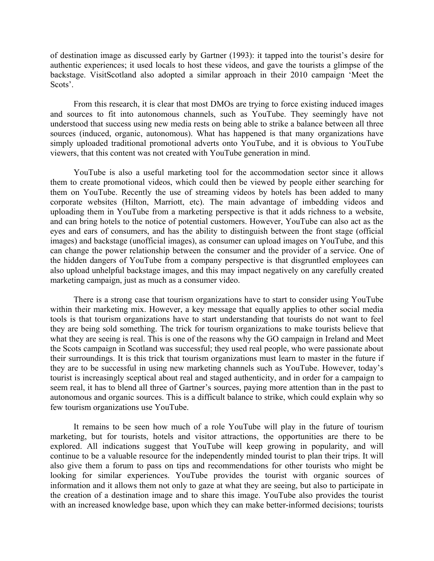of destination image as discussed early by Gartner (1993): it tapped into the tourist's desire for authentic experiences; it used locals to host these videos, and gave the tourists a glimpse of the backstage. VisitScotland also adopted a similar approach in their 2010 campaign 'Meet the Scots'.

 From this research, it is clear that most DMOs are trying to force existing induced images and sources to fit into autonomous channels, such as YouTube. They seemingly have not understood that success using new media rests on being able to strike a balance between all three sources (induced, organic, autonomous). What has happened is that many organizations have simply uploaded traditional promotional adverts onto YouTube, and it is obvious to YouTube viewers, that this content was not created with YouTube generation in mind.

 YouTube is also a useful marketing tool for the accommodation sector since it allows them to create promotional videos, which could then be viewed by people either searching for them on YouTube. Recently the use of streaming videos by hotels has been added to many corporate websites (Hilton, Marriott, etc). The main advantage of imbedding videos and uploading them in YouTube from a marketing perspective is that it adds richness to a website, and can bring hotels to the notice of potential customers. However, YouTube can also act as the eyes and ears of consumers, and has the ability to distinguish between the front stage (official images) and backstage (unofficial images), as consumer can upload images on YouTube, and this can change the power relationship between the consumer and the provider of a service. One of the hidden dangers of YouTube from a company perspective is that disgruntled employees can also upload unhelpful backstage images, and this may impact negatively on any carefully created marketing campaign, just as much as a consumer video.

 There is a strong case that tourism organizations have to start to consider using YouTube within their marketing mix. However, a key message that equally applies to other social media tools is that tourism organizations have to start understanding that tourists do not want to feel they are being sold something. The trick for tourism organizations to make tourists believe that what they are seeing is real. This is one of the reasons why the GO campaign in Ireland and Meet the Scots campaign in Scotland was successful; they used real people, who were passionate about their surroundings. It is this trick that tourism organizations must learn to master in the future if they are to be successful in using new marketing channels such as YouTube. However, today's tourist is increasingly sceptical about real and staged authenticity, and in order for a campaign to seem real, it has to blend all three of Gartner's sources, paying more attention than in the past to autonomous and organic sources. This is a difficult balance to strike, which could explain why so few tourism organizations use YouTube.

 It remains to be seen how much of a role YouTube will play in the future of tourism marketing, but for tourists, hotels and visitor attractions, the opportunities are there to be explored. All indications suggest that YouTube will keep growing in popularity, and will continue to be a valuable resource for the independently minded tourist to plan their trips. It will also give them a forum to pass on tips and recommendations for other tourists who might be looking for similar experiences. YouTube provides the tourist with organic sources of information and it allows them not only to gaze at what they are seeing, but also to participate in the creation of a destination image and to share this image. YouTube also provides the tourist with an increased knowledge base, upon which they can make better-informed decisions; tourists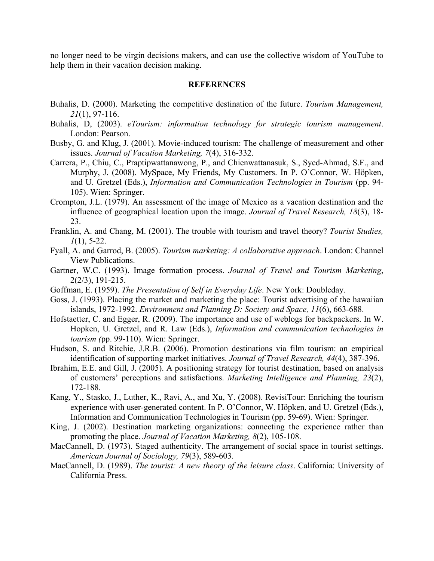no longer need to be virgin decisions makers, and can use the collective wisdom of YouTube to help them in their vacation decision making.

#### **REFERENCES**

- Buhalis, D. (2000). Marketing the competitive destination of the future. *Tourism Management, 21*(1), 97-116.
- Buhalis, D, (2003). *eTourism: information technology for strategic tourism management*. London: Pearson.
- Busby, G. and Klug, J. (2001). Movie-induced tourism: The challenge of measurement and other issues. *Journal of Vacation Marketing, 7*(4), 316-332.
- Carrera, P., Chiu, C., Praptipwattanawong, P., and Chienwattanasuk, S., Syed-Ahmad, S.F., and Murphy, J. (2008). MySpace, My Friends, My Customers. In P. O'Connor, W. Höpken, and U. Gretzel (Eds.), *Information and Communication Technologies in Tourism* (pp. 94- 105). Wien: Springer.
- Crompton, J.L. (1979). An assessment of the image of Mexico as a vacation destination and the influence of geographical location upon the image. *Journal of Travel Research, 18*(3), 18- 23.
- Franklin, A. and Chang, M. (2001). The trouble with tourism and travel theory? *Tourist Studies, 1*(1), 5-22.
- Fyall, A. and Garrod, B. (2005). *Tourism marketing: A collaborative approach*. London: Channel View Publications.
- Gartner, W.C. (1993). Image formation process. *Journal of Travel and Tourism Marketing*, 2(2/3), 191-215.
- Goffman, E. (1959). *The Presentation of Self in Everyday Life*. New York: Doubleday.
- Goss, J. (1993). Placing the market and marketing the place: Tourist advertising of the hawaiian islands, 1972-1992. *Environment and Planning D: Society and Space, 11*(6), 663-688.
- Hofstaetter, C. and Egger, R. (2009). The importance and use of weblogs for backpackers. In W. Hopken, U. Gretzel, and R. Law (Eds.), *Information and communication technologies in tourism (*pp. 99-110). Wien: Springer.
- Hudson, S. and Ritchie, J.R.B. (2006). Promotion destinations via film tourism: an empirical identification of supporting market initiatives. *Journal of Travel Research, 44*(4), 387-396.
- Ibrahim, E.E. and Gill, J. (2005). A positioning strategy for tourist destination, based on analysis of customers' perceptions and satisfactions. *Marketing Intelligence and Planning, 23*(2), 172-188.
- Kang, Y., Stasko, J., Luther, K., Ravi, A., and Xu, Y. (2008). RevisiTour: Enriching the tourism experience with user-generated content. In P. O'Connor, W. Höpken, and U. Gretzel (Eds.), Information and Communication Technologies in Tourism (pp. 59-69). Wien: Springer.
- King, J. (2002). Destination marketing organizations: connecting the experience rather than promoting the place. *Journal of Vacation Marketing, 8*(2), 105-108.
- MacCannell, D. (1973). Staged authenticity. The arrangement of social space in tourist settings. *American Journal of Sociology, 79*(3), 589-603.
- MacCannell, D. (1989). *The tourist: A new theory of the leisure class*. California: University of California Press.